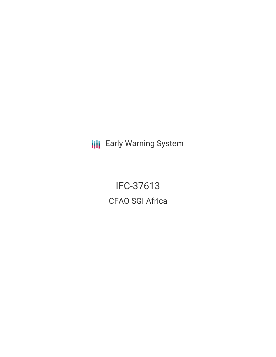**III** Early Warning System

IFC-37613 CFAO SGI Africa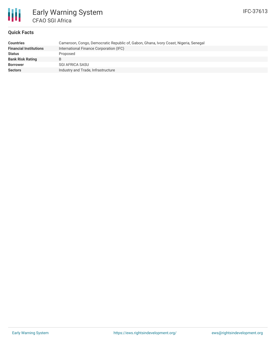

# **Quick Facts**

| <b>Countries</b>              | Cameroon, Congo, Democratic Republic of, Gabon, Ghana, Ivory Coast, Nigeria, Senegal |
|-------------------------------|--------------------------------------------------------------------------------------|
| <b>Financial Institutions</b> | International Finance Corporation (IFC)                                              |
| <b>Status</b>                 | Proposed                                                                             |
| <b>Bank Risk Rating</b>       | B                                                                                    |
| <b>Borrower</b>               | SGI AFRICA SASU                                                                      |
| <b>Sectors</b>                | Industry and Trade, Infrastructure                                                   |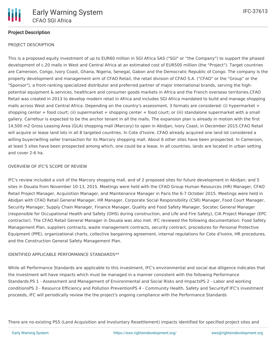## **Project Description**

### PROJECT DESCRIPTION

This is a proposed equity investment of up to EUR60 million in SGI Africa SAS ("SGI" or ''the Company") to support the phased development of c.20 malls in West and Central Africa at an estimated cost of EUR500 million (the "Project"). Target countries are Cameroon, Congo, Ivory Coast, Ghana, Nigeria, Senegal, Gabon and the Democratic Republic of Congo. The company is the property development and management arm of CFAO Retail, the retail division of CFAO S.A. ("CFAO" or the "Group" or the "Sponsor"), a front-ranking specialized distributor and preferred partner of major international brands, serving the highpotential equipment & services, healthcare and consumer goods markets in Africa and the French overseas territories.CFAO Retail was created in 2013 to develop modern retail in Africa and includes SGI Africa mandated to build and manage shopping malls across West and Central Africa. Depending on the country's assessment, 3 formats are considered: (i) hypermarket + shopping center + food court; (ii) supermarket + shopping center + food court; or (iii) standalone supermarket with a small gallery. Carrefour is expected to be the anchor tenant in all the malls. The expansion plan is already in motion with the first 14,500 m2 Gross Leasing Area (GLA) shopping mall (Marcory) to open in Abidjan, Ivory Coast, in December 2015.CFAO Retail will acquire or lease land lots in all 8 targeted countries. In Cote d'Ivoire, CFAO already acquired one land lot considered a willing buyer/willing seller transaction for its Marcory shopping mall. About 6 other sites have been prospected. In Cameroon, at least 5 sites have been prospected among which, one could be a lease. In all countries, lands are located in urban setting and cover 2-6 ha.

### OVERVIEW OF IFC'S SCOPE OF REVIEW

IFC's review included a visit of the Marcory shopping mall, and of 2 proposed sites for future development in Abidjan; and 5 sites in Douala from November 10-13, 2015. Meetings were held with the CFAO Group Human Resources (HR) Manager, CFAO Retail Project Manager, Acquisition Manager, and Maintenance Manager in Paris the 6-7 October 2015. Meetings were held in Abidjan with CFAO Retail General Manager, HR Manager, Corporate Social Responsibility (CSR) Manager, Food Court Manager, Security Manager, Supply Chain Manager, Finance Manager, Quality and Food Safety Manager, Socotec General Manager (responsible for Occupational Health and Safety (OHS) during construction, and Life and Fire Safety), CIA Project Manager (EPC contractor). The CFAO Retail General Manager in Douala was also met. IFC reviewed the following documentation: Food Safety Management Plan, suppliers contracts, waste management contracts, security contract, procedures for Personal Protective Equipment (PPE), organizational charts, collective bargaining agreement, internal regulations for Cote d'Ivoire, HR procedures, and the Construction General Safety Management Plan.

#### IDENTIFIED APPLICABLE PERFORMANCE STANDARDS\*\*

While all Performance Standards are applicable to this investment, IFC's environmental and social due diligence indicates that the investment will have impacts which must be managed in a manner consistent with the following Performance Standards.PS 1 - Assessment and Management of Environmental and Social Risks and ImpactsPS 2 - Labor and working conditionsPS 3 - Resource Efficiency and Pollution PreventionPS 4 - Community Health, Safety and SecurityIf IFC's investment proceeds, IFC will periodically review the the project's ongoing compliance with the Performance Standards

There are no existing PS5 (Land Acquisition and Involuntary Resettlement) impacts identified for specified project sites and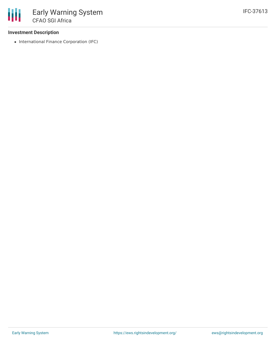## **Investment Description**

• International Finance Corporation (IFC)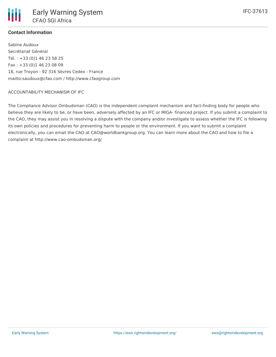

# **Contact Information**

Sabine Audoux Secrétariat Général Tél. : +33 (0)1 46 23 58 25 Fax : +33 (0)1 46 23 08 09 18, rue Troyon - 92 316 Sèvres Cedex - France mailto:saudoux@cfao.com / http://www.cfaogroup.com

## ACCOUNTABILITY MECHANISM OF IFC

The Compliance Advisor Ombudsman (CAO) is the independent complaint mechanism and fact-finding body for people who believe they are likely to be, or have been, adversely affected by an IFC or MIGA- financed project. If you submit a complaint to the CAO, they may assist you in resolving a dispute with the company and/or investigate to assess whether the IFC is following its own policies and procedures for preventing harm to people or the environment. If you want to submit a complaint electronically, you can email the CAO at CAO@worldbankgroup.org. You can learn more about the CAO and how to file a complaint at http://www.cao-ombudsman.org/